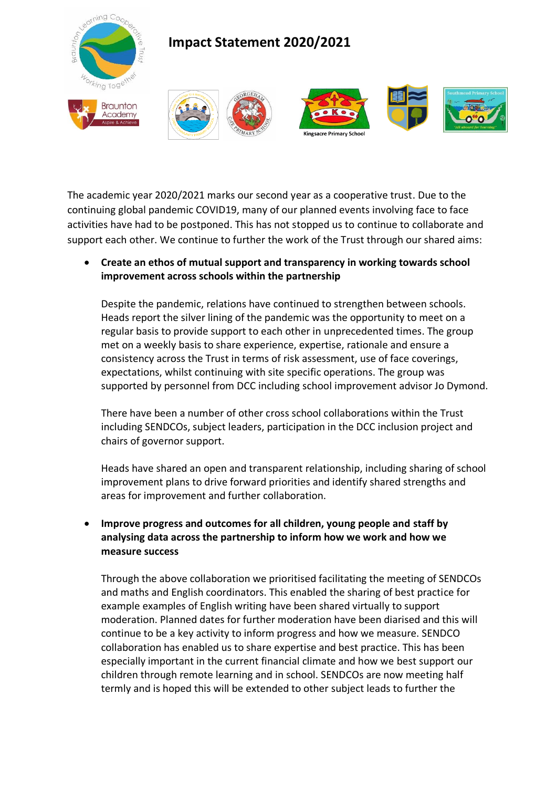

The academic year 2020/2021 marks our second year as a cooperative trust. Due to the continuing global pandemic COVID19, many of our planned events involving face to face activities have had to be postponed. This has not stopped us to continue to collaborate and support each other. We continue to further the work of the Trust through our shared aims:

• **Create an ethos of mutual support and transparency in working towards school improvement across schools within the partnership**

Despite the pandemic, relations have continued to strengthen between schools. Heads report the silver lining of the pandemic was the opportunity to meet on a regular basis to provide support to each other in unprecedented times. The group met on a weekly basis to share experience, expertise, rationale and ensure a consistency across the Trust in terms of risk assessment, use of face coverings, expectations, whilst continuing with site specific operations. The group was supported by personnel from DCC including school improvement advisor Jo Dymond.

There have been a number of other cross school collaborations within the Trust including SENDCOs, subject leaders, participation in the DCC inclusion project and chairs of governor support.

Heads have shared an open and transparent relationship, including sharing of school improvement plans to drive forward priorities and identify shared strengths and areas for improvement and further collaboration.

## • **Improve progress and outcomes for all children, young people and staff by analysing data across the partnership to inform how we work and how we measure success**

Through the above collaboration we prioritised facilitating the meeting of SENDCOs and maths and English coordinators. This enabled the sharing of best practice for example examples of English writing have been shared virtually to support moderation. Planned dates for further moderation have been diarised and this will continue to be a key activity to inform progress and how we measure. SENDCO collaboration has enabled us to share expertise and best practice. This has been especially important in the current financial climate and how we best support our children through remote learning and in school. SENDCOs are now meeting half termly and is hoped this will be extended to other subject leads to further the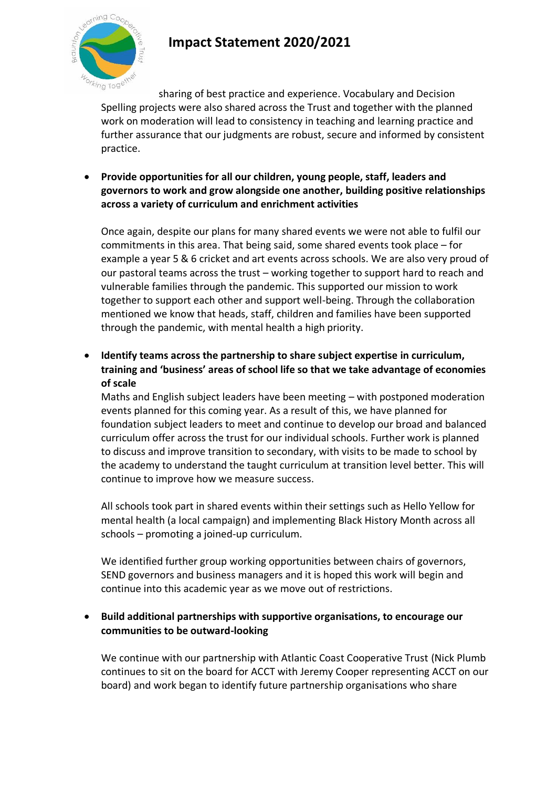

## **Impact Statement 2020/2021**

sharing of best practice and experience. Vocabulary and Decision Spelling projects were also shared across the Trust and together with the planned work on moderation will lead to consistency in teaching and learning practice and further assurance that our judgments are robust, secure and informed by consistent practice.

• **Provide opportunities for all our children, young people, staff, leaders and governors to work and grow alongside one another, building positive relationships across a variety of curriculum and enrichment activities**

Once again, despite our plans for many shared events we were not able to fulfil our commitments in this area. That being said, some shared events took place – for example a year 5 & 6 cricket and art events across schools. We are also very proud of our pastoral teams across the trust – working together to support hard to reach and vulnerable families through the pandemic. This supported our mission to work together to support each other and support well-being. Through the collaboration mentioned we know that heads, staff, children and families have been supported through the pandemic, with mental health a high priority.

• **Identify teams across the partnership to share subject expertise in curriculum, training and 'business' areas of school life so that we take advantage of economies of scale**

Maths and English subject leaders have been meeting – with postponed moderation events planned for this coming year. As a result of this, we have planned for foundation subject leaders to meet and continue to develop our broad and balanced curriculum offer across the trust for our individual schools. Further work is planned to discuss and improve transition to secondary, with visits to be made to school by the academy to understand the taught curriculum at transition level better. This will continue to improve how we measure success.

All schools took part in shared events within their settings such as Hello Yellow for mental health (a local campaign) and implementing Black History Month across all schools – promoting a joined-up curriculum.

We identified further group working opportunities between chairs of governors, SEND governors and business managers and it is hoped this work will begin and continue into this academic year as we move out of restrictions.

## • **Build additional partnerships with supportive organisations, to encourage our communities to be outward-looking**

We continue with our partnership with Atlantic Coast Cooperative Trust (Nick Plumb continues to sit on the board for ACCT with Jeremy Cooper representing ACCT on our board) and work began to identify future partnership organisations who share